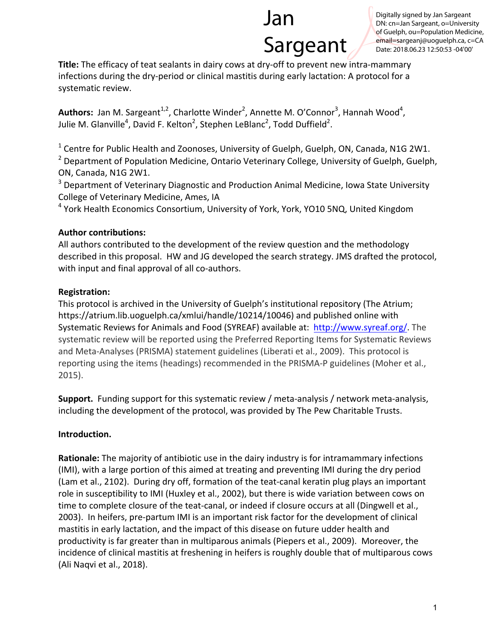# Jan Sargeant

Digitally signed by Jan Sargeant DN: cn=Jan Sargeant, o=University of Guelph, ou=Population Medicine, email=sargeanj@uoguelph.ca, c=CA Date: 2018.06.23 12:50:53 -04'00'

**Title:** The efficacy of teat sealants in dairy cows at dry-off to prevent new intra-mammary infections during the dry-period or clinical mastitis during early lactation: A protocol for a systematic review.

Authors: Jan M. Sargeant<sup>1,2</sup>, Charlotte Winder<sup>2</sup>, Annette M. O'Connor<sup>3</sup>, Hannah Wood<sup>4</sup>, Julie M. Glanville<sup>4</sup>, David F. Kelton<sup>2</sup>, Stephen LeBlanc<sup>2</sup>, Todd Duffield<sup>2</sup>.

 $1$  Centre for Public Health and Zoonoses, University of Guelph, Guelph, ON, Canada, N1G 2W1.

 $2$  Department of Population Medicine, Ontario Veterinary College, University of Guelph, Guelph, ON, Canada, N1G 2W1.

 $3$  Department of Veterinary Diagnostic and Production Animal Medicine, Iowa State University College of Veterinary Medicine, Ames, IA

 $4$  York Health Economics Consortium, University of York, York, YO10 5NQ, United Kingdom

#### **Author contributions:**

All authors contributed to the development of the review question and the methodology described in this proposal. HW and JG developed the search strategy. JMS drafted the protocol, with input and final approval of all co-authors.

# **Registration:**

This protocol is archived in the University of Guelph's institutional repository (The Atrium; https://atrium.lib.uoguelph.ca/xmlui/handle/10214/10046) and published online with Systematic Reviews for Animals and Food (SYREAF) available at: http://www.syreaf.org/. The systematic review will be reported using the Preferred Reporting Items for Systematic Reviews and Meta-Analyses (PRISMA) statement guidelines (Liberati et al., 2009). This protocol is reporting using the items (headings) recommended in the PRISMA-P guidelines (Moher et al., 2015).

**Support.** Funding support for this systematic review / meta-analysis / network meta-analysis, including the development of the protocol, was provided by The Pew Charitable Trusts.

# **Introduction.**

**Rationale:** The majority of antibiotic use in the dairy industry is for intramammary infections (IMI), with a large portion of this aimed at treating and preventing IMI during the dry period (Lam et al., 2102). During dry off, formation of the teat-canal keratin plug plays an important role in susceptibility to IMI (Huxley et al., 2002), but there is wide variation between cows on time to complete closure of the teat-canal, or indeed if closure occurs at all (Dingwell et al., 2003). In heifers, pre-partum IMI is an important risk factor for the development of clinical mastitis in early lactation, and the impact of this disease on future udder health and productivity is far greater than in multiparous animals (Piepers et al., 2009). Moreover, the incidence of clinical mastitis at freshening in heifers is roughly double that of multiparous cows (Ali Naqvi et al., 2018).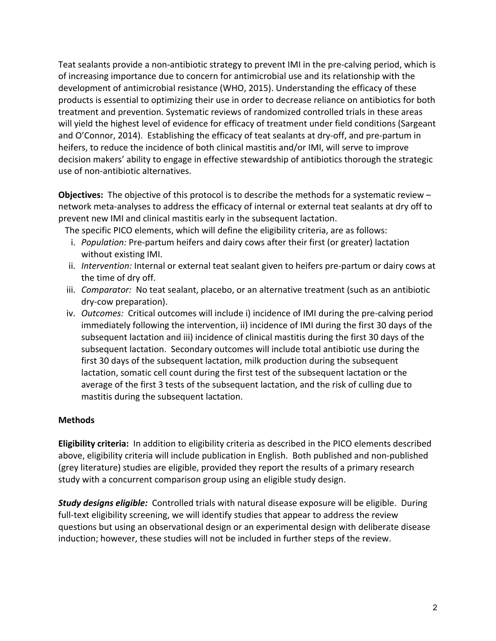Teat sealants provide a non-antibiotic strategy to prevent IMI in the pre-calving period, which is of increasing importance due to concern for antimicrobial use and its relationship with the development of antimicrobial resistance (WHO, 2015). Understanding the efficacy of these products is essential to optimizing their use in order to decrease reliance on antibiotics for both treatment and prevention. Systematic reviews of randomized controlled trials in these areas will yield the highest level of evidence for efficacy of treatment under field conditions (Sargeant and O'Connor, 2014). Establishing the efficacy of teat sealants at dry-off, and pre-partum in heifers, to reduce the incidence of both clinical mastitis and/or IMI, will serve to improve decision makers' ability to engage in effective stewardship of antibiotics thorough the strategic use of non-antibiotic alternatives.

**Objectives:** The objective of this protocol is to describe the methods for a systematic review – network meta-analyses to address the efficacy of internal or external teat sealants at dry off to prevent new IMI and clinical mastitis early in the subsequent lactation.

The specific PICO elements, which will define the eligibility criteria, are as follows:

- i. *Population:* Pre-partum heifers and dairy cows after their first (or greater) lactation without existing IMI.
- ii. Intervention: Internal or external teat sealant given to heifers pre-partum or dairy cows at the time of dry off.
- iii. *Comparator:* No teat sealant, placebo, or an alternative treatment (such as an antibiotic dry-cow preparation).
- iv. *Outcomes:* Critical outcomes will include i) incidence of IMI during the pre-calving period immediately following the intervention, ii) incidence of IMI during the first 30 days of the subsequent lactation and iii) incidence of clinical mastitis during the first 30 days of the subsequent lactation. Secondary outcomes will include total antibiotic use during the first 30 days of the subsequent lactation, milk production during the subsequent lactation, somatic cell count during the first test of the subsequent lactation or the average of the first 3 tests of the subsequent lactation, and the risk of culling due to mastitis during the subsequent lactation.

#### **Methods**

**Eligibility criteria:** In addition to eligibility criteria as described in the PICO elements described above, eligibility criteria will include publication in English. Both published and non-published (grey literature) studies are eligible, provided they report the results of a primary research study with a concurrent comparison group using an eligible study design.

**Study designs eligible:** Controlled trials with natural disease exposure will be eligible. During full-text eligibility screening, we will identify studies that appear to address the review questions but using an observational design or an experimental design with deliberate disease induction; however, these studies will not be included in further steps of the review.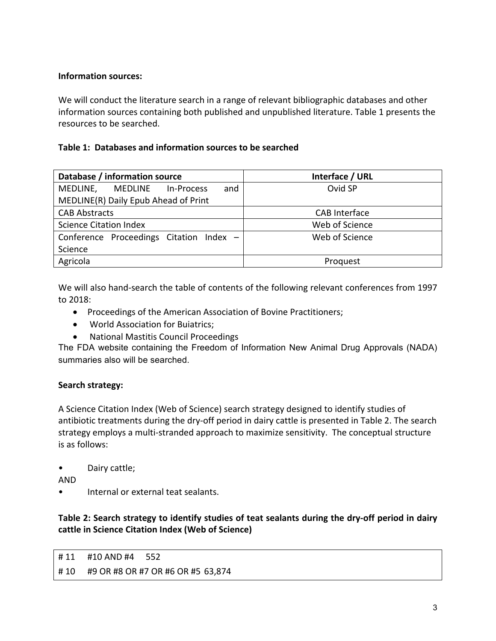#### **Information sources:**

We will conduct the literature search in a range of relevant bibliographic databases and other information sources containing both published and unpublished literature. Table 1 presents the resources to be searched.

# **Table 1: Databases and information sources to be searched**

| Database / information source            | Interface / URL      |
|------------------------------------------|----------------------|
| and<br>MEDLINE,<br>MEDLINE<br>In-Process | Ovid SP              |
| MEDLINE(R) Daily Epub Ahead of Print     |                      |
| <b>CAB Abstracts</b>                     | <b>CAB</b> Interface |
| <b>Science Citation Index</b>            | Web of Science       |
| Conference Proceedings Citation Index -  | Web of Science       |
| Science                                  |                      |
| Agricola                                 | Proquest             |
|                                          |                      |

We will also hand-search the table of contents of the following relevant conferences from 1997 to 2018:

- Proceedings of the American Association of Bovine Practitioners;
- World Association for Buiatrics;
- National Mastitis Council Proceedings

The FDA website containing the Freedom of Information New Animal Drug Approvals (NADA) summaries also will be searched.

# **Search strategy:**

A Science Citation Index (Web of Science) search strategy designed to identify studies of antibiotic treatments during the dry-off period in dairy cattle is presented in Table 2. The search strategy employs a multi-stranded approach to maximize sensitivity. The conceptual structure is as follows:

• Dairy cattle;

AND

Internal or external teat sealants.

# Table 2: Search strategy to identify studies of teat sealants during the dry-off period in dairy cattle in Science Citation Index (Web of Science)

# 11 #10 AND #4 552 # 10 #9 OR #8 OR #7 OR #6 OR #5 63,874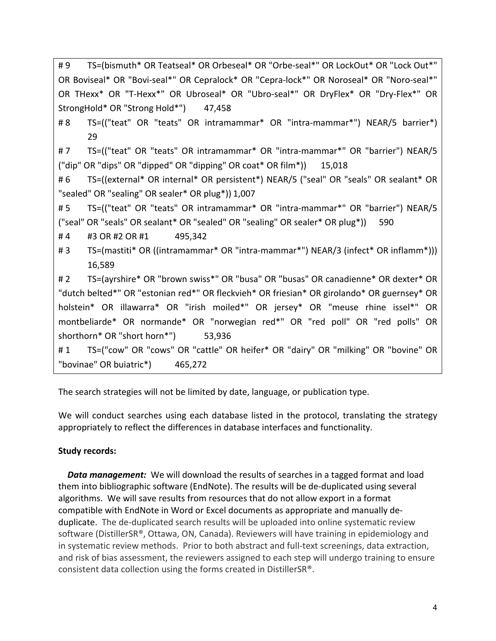| TS=(bismuth* OR Teatseal* OR Orbeseal* OR "Orbe-seal*" OR LockOut* OR "Lock Out*"<br>#9     |  |
|---------------------------------------------------------------------------------------------|--|
| OR Boviseal* OR "Bovi-seal*" OR Cepralock* OR "Cepra-lock*" OR Noroseal* OR "Noro-seal*"    |  |
| OR THexx* OR "T-Hexx*" OR Ubroseal* OR "Ubro-seal*" OR DryFlex* OR "Dry-Flex*" OR           |  |
| StrongHold* OR "Strong Hold*") 47,458                                                       |  |
| TS=(("teat" OR "teats" OR intramammar* OR "intra-mammar*") NEAR/5 barrier*)<br># 8          |  |
| 29                                                                                          |  |
| TS=(("teat" OR "teats" OR intramammar* OR "intra-mammar*" OR "barrier") NEAR/5<br>#7        |  |
| ("dip" OR "dips" OR "dipped" OR "dipping" OR coat* OR film*)) 15,018                        |  |
| TS=((external* OR internal* OR persistent*) NEAR/5 ("seal" OR "seals" OR sealant* OR<br>#6  |  |
| "sealed" OR "sealing" OR sealer* OR plug*)) 1,007                                           |  |
| TS=(("teat" OR "teats" OR intramammar* OR "intra-mammar*" OR "barrier") NEAR/5<br>#5        |  |
| ("seal" OR "seals" OR sealant* OR "sealed" OR "sealing" OR sealer* OR plug*))<br>590        |  |
| #4<br>#3 OR #2 OR #1<br>495,342                                                             |  |
| TS=(mastiti* OR ((intramammar* OR "intra-mammar*") NEAR/3 (infect* OR inflamm*)))<br>#3     |  |
| 16,589                                                                                      |  |
| TS=(ayrshire* OR "brown swiss*" OR "busa" OR "busas" OR canadienne* OR dexter* OR<br># 2    |  |
| "dutch belted*" OR "estonian red*" OR fleckvieh* OR friesian* OR girolando* OR guernsey* OR |  |
| holstein* OR illawarra* OR "irish moiled*" OR jersey* OR "meuse rhine issel*" OR            |  |
| montbeliarde* OR normande* OR "norwegian red*" OR "red poll" OR "red polls" OR              |  |
| shorthorn* OR "short horn*")<br>53,936                                                      |  |
| TS=("cow" OR "cows" OR "cattle" OR heifer* OR "dairy" OR "milking" OR "bovine" OR<br>#1     |  |
| "bovinae" OR buiatric*) 465,272                                                             |  |

The search strategies will not be limited by date, language, or publication type.

We will conduct searches using each database listed in the protocol, translating the strategy appropriately to reflect the differences in database interfaces and functionality.

# **Study records:**

**Data management:** We will download the results of searches in a tagged format and load them into bibliographic software (EndNote). The results will be de-duplicated using several algorithms. We will save results from resources that do not allow export in a format compatible with EndNote in Word or Excel documents as appropriate and manually deduplicate. The de-duplicated search results will be uploaded into online systematic review software (DistillerSR®, Ottawa, ON, Canada). Reviewers will have training in epidemiology and in systematic review methods. Prior to both abstract and full-text screenings, data extraction, and risk of bias assessment, the reviewers assigned to each step will undergo training to ensure consistent data collection using the forms created in DistillerSR®.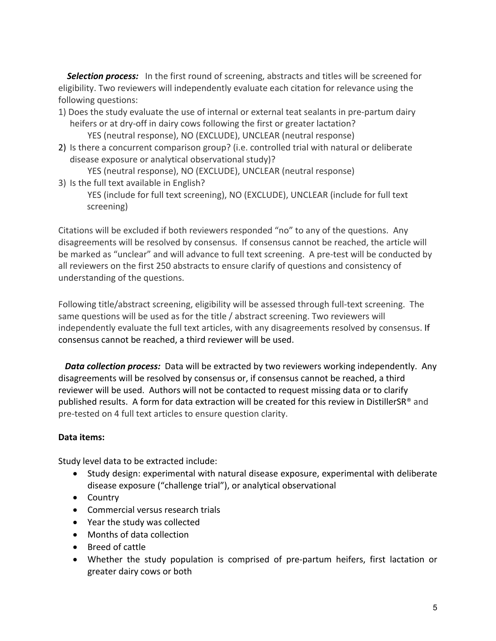**Selection process:** In the first round of screening, abstracts and titles will be screened for eligibility. Two reviewers will independently evaluate each citation for relevance using the following questions:

- 1) Does the study evaluate the use of internal or external teat sealants in pre-partum dairy heifers or at dry-off in dairy cows following the first or greater lactation? YES (neutral response), NO (EXCLUDE), UNCLEAR (neutral response)
- 2) Is there a concurrent comparison group? (i.e. controlled trial with natural or deliberate disease exposure or analytical observational study)?

YES (neutral response), NO (EXCLUDE), UNCLEAR (neutral response)

3) Is the full text available in English? YES (include for full text screening), NO (EXCLUDE), UNCLEAR (include for full text screening)

Citations will be excluded if both reviewers responded "no" to any of the questions. Any disagreements will be resolved by consensus. If consensus cannot be reached, the article will be marked as "unclear" and will advance to full text screening. A pre-test will be conducted by all reviewers on the first 250 abstracts to ensure clarify of questions and consistency of understanding of the questions.

Following title/abstract screening, eligibility will be assessed through full-text screening. The same questions will be used as for the title / abstract screening. Two reviewers will independently evaluate the full text articles, with any disagreements resolved by consensus. If consensus cannot be reached, a third reviewer will be used.

**Data collection process:** Data will be extracted by two reviewers working independently. Any disagreements will be resolved by consensus or, if consensus cannot be reached, a third reviewer will be used. Authors will not be contacted to request missing data or to clarify published results. A form for data extraction will be created for this review in DistillerSR® and pre-tested on 4 full text articles to ensure question clarity.

#### **Data items:**

Study level data to be extracted include:

- Study design: experimental with natural disease exposure, experimental with deliberate disease exposure ("challenge trial"), or analytical observational
- Country
- Commercial versus research trials
- Year the study was collected
- Months of data collection
- Breed of cattle
- Whether the study population is comprised of pre-partum heifers, first lactation or greater dairy cows or both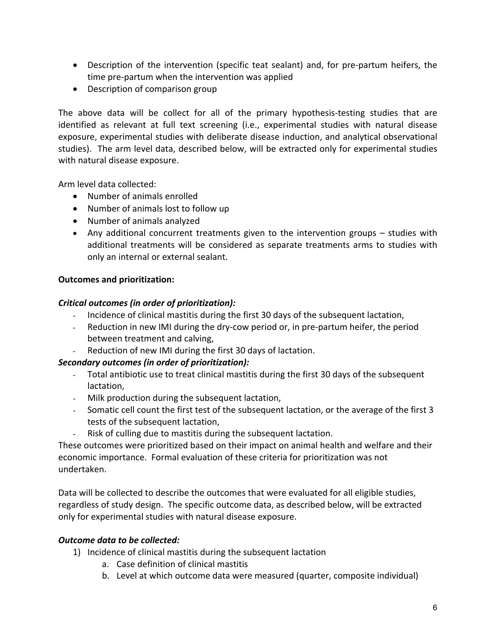- Description of the intervention (specific teat sealant) and, for pre-partum heifers, the time pre-partum when the intervention was applied
- Description of comparison group

The above data will be collect for all of the primary hypothesis-testing studies that are identified as relevant at full text screening (i.e., experimental studies with natural disease exposure, experimental studies with deliberate disease induction, and analytical observational studies). The arm level data, described below, will be extracted only for experimental studies with natural disease exposure.

Arm level data collected:

- Number of animals enrolled
- Number of animals lost to follow up
- Number of animals analyzed
- Any additional concurrent treatments given to the intervention groups studies with additional treatments will be considered as separate treatments arms to studies with only an internal or external sealant.

# **Outcomes and prioritization:**

#### *Critical outcomes (in order of prioritization):*

- Incidence of clinical mastitis during the first 30 days of the subsequent lactation,
- Reduction in new IMI during the dry-cow period or, in pre-partum heifer, the period between treatment and calving,
- Reduction of new IMI during the first 30 days of lactation.

# *Secondary outcomes (in order of prioritization):*

- Total antibiotic use to treat clinical mastitis during the first 30 days of the subsequent lactation,
- Milk production during the subsequent lactation,
- Somatic cell count the first test of the subsequent lactation, or the average of the first 3 tests of the subsequent lactation,
- Risk of culling due to mastitis during the subsequent lactation.

These outcomes were prioritized based on their impact on animal health and welfare and their economic importance. Formal evaluation of these criteria for prioritization was not undertaken.

Data will be collected to describe the outcomes that were evaluated for all eligible studies, regardless of study design. The specific outcome data, as described below, will be extracted only for experimental studies with natural disease exposure.

# **Outcome data to be collected:**

- 1) Incidence of clinical mastitis during the subsequent lactation
	- a. Case definition of clinical mastitis
	- b. Level at which outcome data were measured (quarter, composite individual)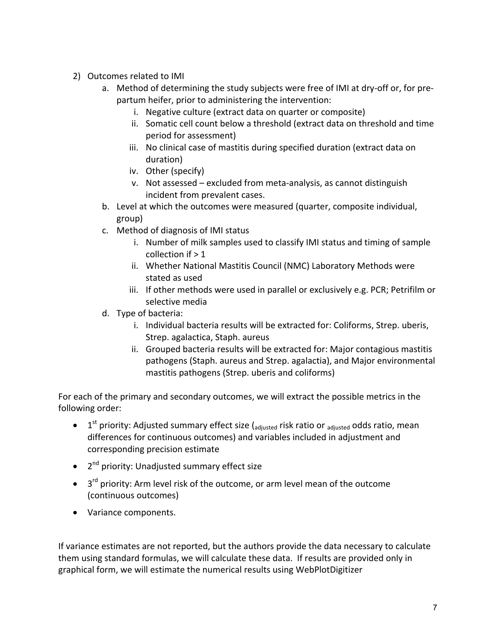- 2) Outcomes related to IMI
	- a. Method of determining the study subjects were free of IMI at dry-off or, for prepartum heifer, prior to administering the intervention:
		- i. Negative culture (extract data on quarter or composite)
		- ii. Somatic cell count below a threshold (extract data on threshold and time period for assessment)
		- iii. No clinical case of mastitis during specified duration (extract data on duration)
		- iv. Other (specify)
		- v. Not assessed excluded from meta-analysis, as cannot distinguish incident from prevalent cases.
	- b. Level at which the outcomes were measured (quarter, composite individual, group)
	- c. Method of diagnosis of IMI status
		- i. Number of milk samples used to classify IMI status and timing of sample collection if  $>1$
		- ii. Whether National Mastitis Council (NMC) Laboratory Methods were stated as used
		- iii. If other methods were used in parallel or exclusively e.g. PCR; Petrifilm or selective media
	- d. Type of bacteria:
		- i. Individual bacteria results will be extracted for: Coliforms, Strep. uberis, Strep. agalactica, Staph. aureus
		- ii. Grouped bacteria results will be extracted for: Major contagious mastitis pathogens (Staph. aureus and Strep. agalactia), and Major environmental mastitis pathogens (Strep. uberis and coliforms)

For each of the primary and secondary outcomes, we will extract the possible metrics in the following order:

- $1<sup>st</sup>$  priority: Adjusted summary effect size ( $_{\text{adjusted}}$  risk ratio or  $_{\text{adjusted}}$  odds ratio, mean differences for continuous outcomes) and variables included in adjustment and corresponding precision estimate
- $\bullet$  2<sup>nd</sup> priority: Unadjusted summary effect size
- $3<sup>rd</sup>$  priority: Arm level risk of the outcome, or arm level mean of the outcome (continuous outcomes)
- Variance components.

If variance estimates are not reported, but the authors provide the data necessary to calculate them using standard formulas, we will calculate these data. If results are provided only in graphical form, we will estimate the numerical results using WebPlotDigitizer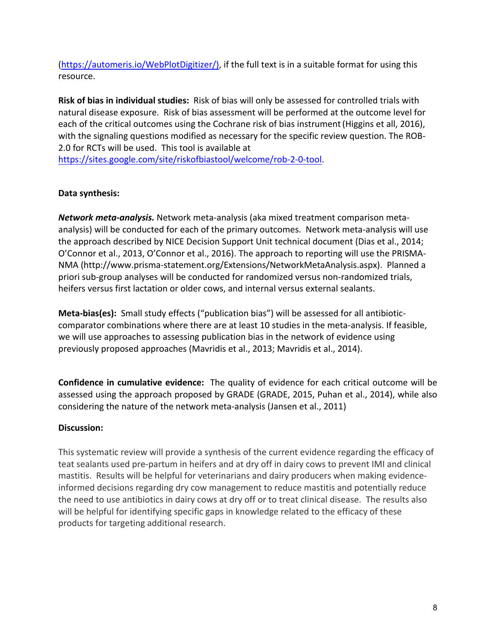(https://automeris.io/WebPlotDigitizer/), if the full text is in a suitable format for using this resource.

**Risk of bias in individual studies:** Risk of bias will only be assessed for controlled trials with natural disease exposure. Risk of bias assessment will be performed at the outcome level for each of the critical outcomes using the Cochrane risk of bias instrument (Higgins et all, 2016), with the signaling questions modified as necessary for the specific review question. The ROB-2.0 for RCTs will be used. This tool is available at

https://sites.google.com/site/riskofbiastool/welcome/rob-2-0-tool.

#### **Data synthesis:**

*Network meta-analysis.* Network meta-analysis (aka mixed treatment comparison metaanalysis) will be conducted for each of the primary outcomes. Network meta-analysis will use the approach described by NICE Decision Support Unit technical document (Dias et al., 2014; O'Connor et al., 2013, O'Connor et al., 2016). The approach to reporting will use the PRISMA-NMA (http://www.prisma-statement.org/Extensions/NetworkMetaAnalysis.aspx). Planned a priori sub-group analyses will be conducted for randomized versus non-randomized trials, heifers versus first lactation or older cows, and internal versus external sealants.

**Meta-bias(es):** Small study effects ("publication bias") will be assessed for all antibioticcomparator combinations where there are at least 10 studies in the meta-analysis. If feasible, we will use approaches to assessing publication bias in the network of evidence using previously proposed approaches (Mavridis et al., 2013; Mavridis et al., 2014).

**Confidence in cumulative evidence:** The quality of evidence for each critical outcome will be assessed using the approach proposed by GRADE (GRADE, 2015, Puhan et al., 2014), while also considering the nature of the network meta-analysis (Jansen et al., 2011)

# **Discussion:**

This systematic review will provide a synthesis of the current evidence regarding the efficacy of teat sealants used pre-partum in heifers and at dry off in dairy cows to prevent IMI and clinical mastitis. Results will be helpful for veterinarians and dairy producers when making evidenceinformed decisions regarding dry cow management to reduce mastitis and potentially reduce the need to use antibiotics in dairy cows at dry off or to treat clinical disease. The results also will be helpful for identifying specific gaps in knowledge related to the efficacy of these products for targeting additional research.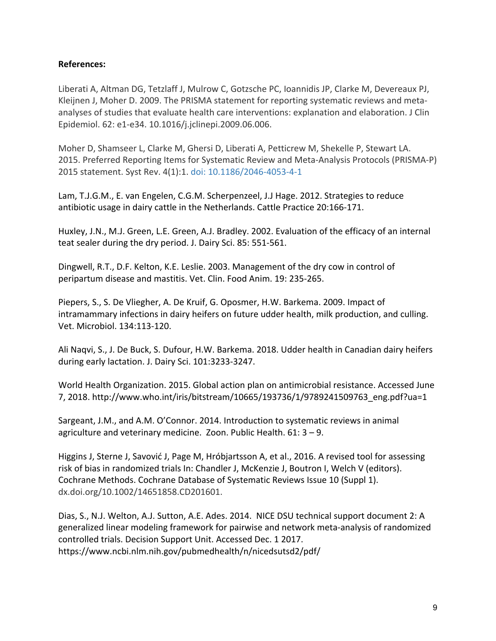#### **References:**

Liberati A, Altman DG, Tetzlaff J, Mulrow C, Gotzsche PC, Ioannidis JP, Clarke M, Devereaux PJ, Kleijnen J, Moher D. 2009. The PRISMA statement for reporting systematic reviews and metaanalyses of studies that evaluate health care interventions: explanation and elaboration. J Clin Epidemiol. 62: e1-e34. 10.1016/j.jclinepi.2009.06.006.

Moher D, Shamseer L, Clarke M, Ghersi D, Liberati A, Petticrew M, Shekelle P, Stewart LA. 2015. Preferred Reporting Items for Systematic Review and Meta-Analysis Protocols (PRISMA-P) 2015 statement. Syst Rev. 4(1):1. doi: 10.1186/2046-4053-4-1

Lam, T.J.G.M., E. van Engelen, C.G.M. Scherpenzeel, J.J Hage. 2012. Strategies to reduce antibiotic usage in dairy cattle in the Netherlands. Cattle Practice 20:166-171.

Huxley, J.N., M.J. Green, L.E. Green, A.J. Bradley. 2002. Evaluation of the efficacy of an internal teat sealer during the dry period. J. Dairy Sci. 85: 551-561.

Dingwell, R.T., D.F. Kelton, K.E. Leslie. 2003. Management of the dry cow in control of peripartum disease and mastitis. Vet. Clin. Food Anim. 19: 235-265.

Piepers, S., S. De Vliegher, A. De Kruif, G. Oposmer, H.W. Barkema. 2009. Impact of intramammary infections in dairy heifers on future udder health, milk production, and culling. Vet. Microbiol. 134:113-120.

Ali Naqvi, S., J. De Buck, S. Dufour, H.W. Barkema. 2018. Udder health in Canadian dairy heifers during early lactation. J. Dairy Sci. 101:3233-3247.

World Health Organization. 2015. Global action plan on antimicrobial resistance. Accessed June 7, 2018. http://www.who.int/iris/bitstream/10665/193736/1/9789241509763\_eng.pdf?ua=1

Sargeant, J.M., and A.M. O'Connor. 2014. Introduction to systematic reviews in animal agriculture and veterinary medicine. Zoon. Public Health.  $61:3 - 9$ .

Higgins J, Sterne J, Savović J, Page M, Hróbjartsson A, et al., 2016. A revised tool for assessing risk of bias in randomized trials In: Chandler J, McKenzie J, Boutron I, Welch V (editors). Cochrane Methods. Cochrane Database of Systematic Reviews Issue 10 (Suppl 1). dx.doi.org/10.1002/14651858.CD201601.

Dias, S., N.J. Welton, A.J. Sutton, A.E. Ades. 2014. NICE DSU technical support document 2: A generalized linear modeling framework for pairwise and network meta-analysis of randomized controlled trials. Decision Support Unit. Accessed Dec. 1 2017. https://www.ncbi.nlm.nih.gov/pubmedhealth/n/nicedsutsd2/pdf/